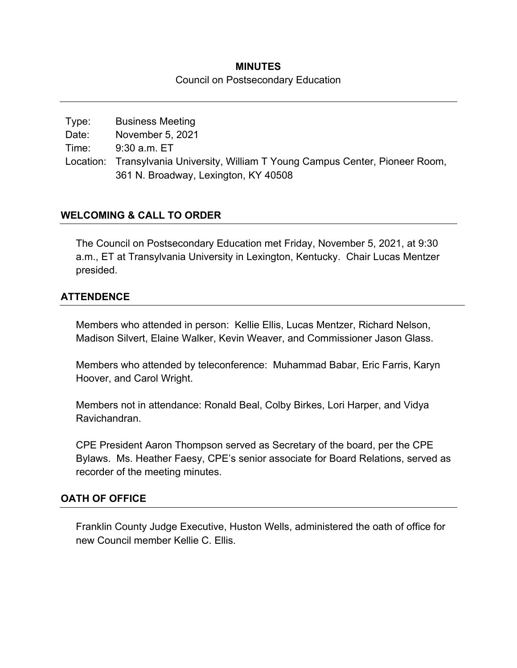### **MINUTES**  Council on Postsecondary Education

Type: Business Meeting Date: November 5, 2021 Time: 9:30 a.m. ET Location: Transylvania University, William T Young Campus Center, Pioneer Room, 361 N. Broadway, Lexington, KY 40508

### **WELCOMING & CALL TO ORDER**

The Council on Postsecondary Education met Friday, November 5, 2021, at 9:30 a.m., ET at Transylvania University in Lexington, Kentucky. Chair Lucas Mentzer presided.

### **ATTENDENCE**

Members who attended in person: Kellie Ellis, Lucas Mentzer, Richard Nelson, Madison Silvert, Elaine Walker, Kevin Weaver, and Commissioner Jason Glass.

Members who attended by teleconference: Muhammad Babar, Eric Farris, Karyn Hoover, and Carol Wright.

Members not in attendance: Ronald Beal, Colby Birkes, Lori Harper, and Vidya Ravichandran.

CPE President Aaron Thompson served as Secretary of the board, per the CPE Bylaws. Ms. Heather Faesy, CPE's senior associate for Board Relations, served as recorder of the meeting minutes.

#### **OATH OF OFFICE**

Franklin County Judge Executive, Huston Wells, administered the oath of office for new Council member Kellie C. Ellis.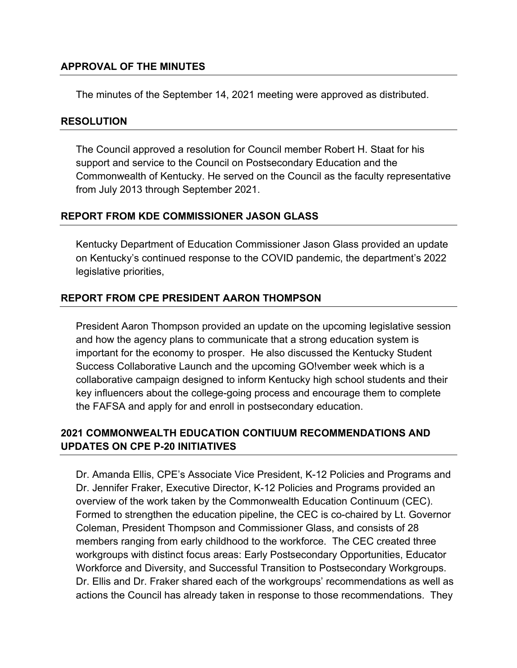### **APPROVAL OF THE MINUTES**

The minutes of the September 14, 2021 meeting were approved as distributed.

#### **RESOLUTION**

The Council approved a resolution for Council member Robert H. Staat for his support and service to the Council on Postsecondary Education and the Commonwealth of Kentucky. He served on the Council as the faculty representative from July 2013 through September 2021.

#### **REPORT FROM KDE COMMISSIONER JASON GLASS**

Kentucky Department of Education Commissioner Jason Glass provided an update on Kentucky's continued response to the COVID pandemic, the department's 2022 legislative priorities,

### **REPORT FROM CPE PRESIDENT AARON THOMPSON**

President Aaron Thompson provided an update on the upcoming legislative session and how the agency plans to communicate that a strong education system is important for the economy to prosper. He also discussed the Kentucky Student Success Collaborative Launch and the upcoming GO!vember week which is a collaborative campaign designed to inform Kentucky high school students and their key influencers about the college-going process and encourage them to complete the FAFSA and apply for and enroll in postsecondary education.

### **2021 COMMONWEALTH EDUCATION CONTIUUM RECOMMENDATIONS AND UPDATES ON CPE P-20 INITIATIVES**

Dr. Amanda Ellis, CPE's Associate Vice President, K-12 Policies and Programs and Dr. Jennifer Fraker, Executive Director, K-12 Policies and Programs provided an overview of the work taken by the Commonwealth Education Continuum (CEC). Formed to strengthen the education pipeline, the CEC is co-chaired by Lt. Governor Coleman, President Thompson and Commissioner Glass, and consists of 28 members ranging from early childhood to the workforce. The CEC created three workgroups with distinct focus areas: Early Postsecondary Opportunities, Educator Workforce and Diversity, and Successful Transition to Postsecondary Workgroups. Dr. Ellis and Dr. Fraker shared each of the workgroups' recommendations as well as actions the Council has already taken in response to those recommendations. They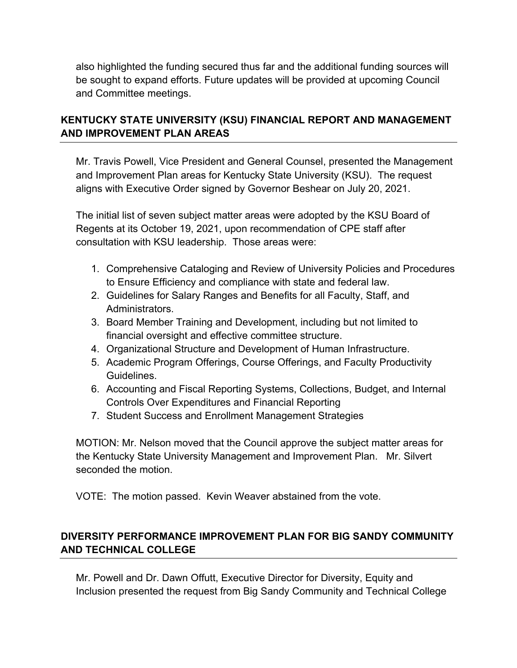also highlighted the funding secured thus far and the additional funding sources will be sought to expand efforts. Future updates will be provided at upcoming Council and Committee meetings.

# **KENTUCKY STATE UNIVERSITY (KSU) FINANCIAL REPORT AND MANAGEMENT AND IMPROVEMENT PLAN AREAS**

Mr. Travis Powell, Vice President and General Counsel, presented the Management and Improvement Plan areas for Kentucky State University (KSU). The request aligns with Executive Order signed by Governor Beshear on July 20, 2021.

The initial list of seven subject matter areas were adopted by the KSU Board of Regents at its October 19, 2021, upon recommendation of CPE staff after consultation with KSU leadership. Those areas were:

- 1. Comprehensive Cataloging and Review of University Policies and Procedures to Ensure Efficiency and compliance with state and federal law.
- 2. Guidelines for Salary Ranges and Benefits for all Faculty, Staff, and Administrators.
- 3. Board Member Training and Development, including but not limited to financial oversight and effective committee structure.
- 4. Organizational Structure and Development of Human Infrastructure.
- 5. Academic Program Offerings, Course Offerings, and Faculty Productivity Guidelines.
- 6. Accounting and Fiscal Reporting Systems, Collections, Budget, and Internal Controls Over Expenditures and Financial Reporting
- 7. Student Success and Enrollment Management Strategies

MOTION: Mr. Nelson moved that the Council approve the subject matter areas for the Kentucky State University Management and Improvement Plan. Mr. Silvert seconded the motion.

VOTE: The motion passed. Kevin Weaver abstained from the vote.

# **DIVERSITY PERFORMANCE IMPROVEMENT PLAN FOR BIG SANDY COMMUNITY AND TECHNICAL COLLEGE**

Mr. Powell and Dr. Dawn Offutt, Executive Director for Diversity, Equity and Inclusion presented the request from Big Sandy Community and Technical College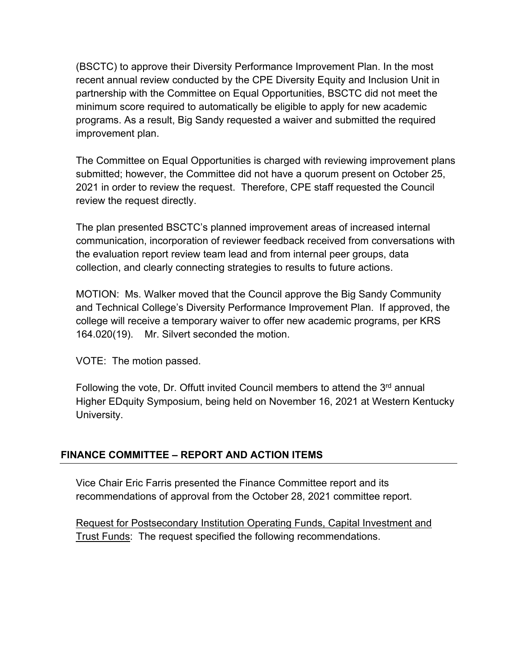(BSCTC) to approve their Diversity Performance Improvement Plan. In the most recent annual review conducted by the CPE Diversity Equity and Inclusion Unit in partnership with the Committee on Equal Opportunities, BSCTC did not meet the minimum score required to automatically be eligible to apply for new academic programs. As a result, Big Sandy requested a waiver and submitted the required improvement plan.

The Committee on Equal Opportunities is charged with reviewing improvement plans submitted; however, the Committee did not have a quorum present on October 25, 2021 in order to review the request. Therefore, CPE staff requested the Council review the request directly.

The plan presented BSCTC's planned improvement areas of increased internal communication, incorporation of reviewer feedback received from conversations with the evaluation report review team lead and from internal peer groups, data collection, and clearly connecting strategies to results to future actions.

MOTION: Ms. Walker moved that the Council approve the Big Sandy Community and Technical College's Diversity Performance Improvement Plan. If approved, the college will receive a temporary waiver to offer new academic programs, per KRS 164.020(19). Mr. Silvert seconded the motion.

VOTE: The motion passed.

Following the vote, Dr. Offutt invited Council members to attend the  $3<sup>rd</sup>$  annual Higher EDquity Symposium, being held on November 16, 2021 at Western Kentucky University.

### **FINANCE COMMITTEE – REPORT AND ACTION ITEMS**

Vice Chair Eric Farris presented the Finance Committee report and its recommendations of approval from the October 28, 2021 committee report.

Request for Postsecondary Institution Operating Funds, Capital Investment and Trust Funds: The request specified the following recommendations.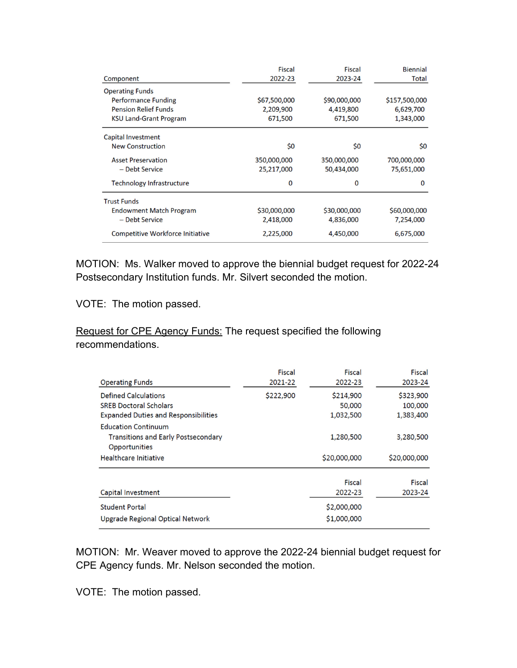| Component                               | <b>Fiscal</b><br>2022-23 | <b>Fiscal</b><br>2023-24 | <b>Biennial</b><br>Total |
|-----------------------------------------|--------------------------|--------------------------|--------------------------|
|                                         |                          |                          |                          |
| <b>Performance Funding</b>              | \$67,500,000             | \$90,000,000             | \$157,500,000            |
| <b>Pension Relief Funds</b>             | 2,209,900                | 4,419,800                | 6,629,700                |
| <b>KSU Land-Grant Program</b>           | 671,500                  | 671,500                  | 1,343,000                |
| Capital Investment                      |                          |                          |                          |
| <b>New Construction</b>                 | \$0                      | \$0                      | \$0                      |
| <b>Asset Preservation</b>               | 350,000,000              | 350,000,000              | 700,000,000              |
| - Debt Service                          | 25,217,000               | 50,434,000               | 75,651,000               |
| <b>Technology Infrastructure</b>        | 0                        | 0                        | 0                        |
| <b>Trust Funds</b>                      |                          |                          |                          |
| <b>Endowment Match Program</b>          | \$30,000,000             | \$30,000,000             | \$60,000,000             |
| - Debt Service                          | 2,418,000                | 4,836,000                | 7,254,000                |
| <b>Competitive Workforce Initiative</b> | 2,225,000                | 4,450,000                | 6,675,000                |

MOTION: Ms. Walker moved to approve the biennial budget request for 2022-24 Postsecondary Institution funds. Mr. Silvert seconded the motion.

VOTE: The motion passed.

### Request for CPE Agency Funds: The request specified the following recommendations.

| <b>Operating Funds</b>                                                                                      | Fiscal<br>2021-22 | Fiscal<br>2022-23                               | <b>Fiscal</b><br>2023-24          |
|-------------------------------------------------------------------------------------------------------------|-------------------|-------------------------------------------------|-----------------------------------|
| <b>Defined Calculations</b><br><b>SREB Doctoral Scholars</b><br><b>Expanded Duties and Responsibilities</b> | \$222,900         | \$214,900<br>50,000<br>1,032,500                | \$323,900<br>100,000<br>1,383,400 |
| <b>Education Continuum</b><br><b>Transitions and Early Postsecondary</b><br>Opportunities                   |                   | 1,280,500                                       | 3,280,500                         |
| <b>Healthcare Initiative</b>                                                                                |                   | \$20,000,000                                    | \$20,000,000                      |
| Capital Investment<br><b>Student Portal</b><br><b>Upgrade Regional Optical Network</b>                      |                   | Fiscal<br>2022-23<br>\$2,000,000<br>\$1,000,000 | <b>Fiscal</b><br>2023-24          |

MOTION: Mr. Weaver moved to approve the 2022-24 biennial budget request for CPE Agency funds. Mr. Nelson seconded the motion.

VOTE: The motion passed.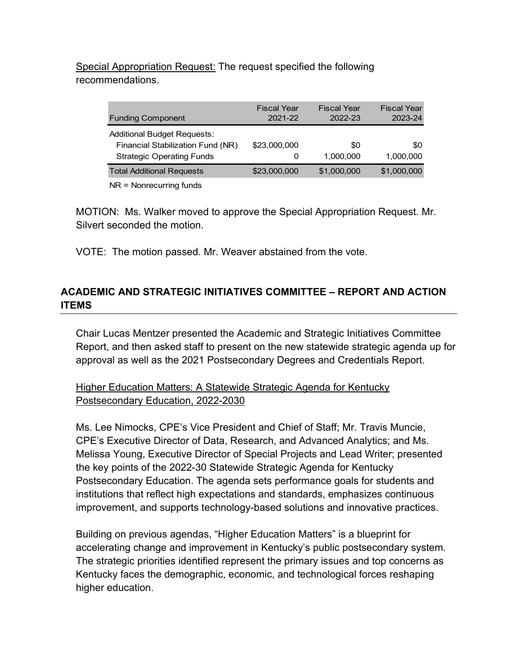# Special Appropriation Request: The request specified the following recommendations.

| <b>Funding Component</b>                                                                                    | <b>Fiscal Year</b><br>2021-22 | <b>Fiscal Year</b><br>2022-23 | <b>Fiscal Year</b><br>2023-24 |
|-------------------------------------------------------------------------------------------------------------|-------------------------------|-------------------------------|-------------------------------|
| <b>Additional Budget Requests:</b><br>Financial Stabilization Fund (NR)<br><b>Strategic Operating Funds</b> | \$23,000,000<br>0             | \$0<br>1,000,000              | \$0<br>1.000.000              |
| <b>Total Additional Requests</b>                                                                            | \$23,000,000                  | \$1,000,000                   | \$1,000,000                   |
|                                                                                                             |                               |                               |                               |

NR = Nonrecurring funds

MOTION: Ms. Walker moved to approve the Special Appropriation Request. Mr. Silvert seconded the motion.

VOTE: The motion passed. Mr. Weaver abstained from the vote.

# **ACADEMIC AND STRATEGIC INITIATIVES COMMITTEE – REPORT AND ACTION ITEMS**

Chair Lucas Mentzer presented the Academic and Strategic Initiatives Committee Report, and then asked staff to present on the new statewide strategic agenda up for approval as well as the 2021 Postsecondary Degrees and Credentials Report.

## Higher Education Matters: A Statewide Strategic Agenda for Kentucky Postsecondary Education, 2022-2030

Ms. Lee Nimocks, CPE's Vice President and Chief of Staff; Mr. Travis Muncie, CPE's Executive Director of Data, Research, and Advanced Analytics; and Ms. Melissa Young, Executive Director of Special Projects and Lead Writer; presented the key points of the 2022-30 Statewide Strategic Agenda for Kentucky Postsecondary Education. The agenda sets performance goals for students and institutions that reflect high expectations and standards, emphasizes continuous improvement, and supports technology-based solutions and innovative practices.

Building on previous agendas, "Higher Education Matters" is a blueprint for accelerating change and improvement in Kentucky's public postsecondary system. The strategic priorities identified represent the primary issues and top concerns as Kentucky faces the demographic, economic, and technological forces reshaping higher education.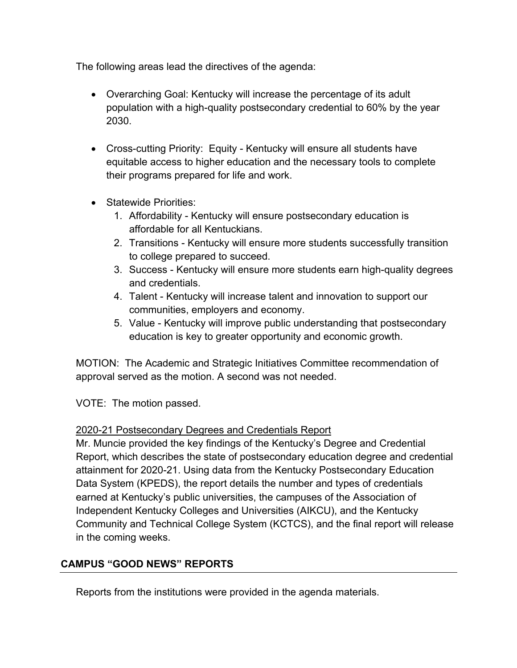The following areas lead the directives of the agenda:

- Overarching Goal: Kentucky will increase the percentage of its adult population with a high-quality postsecondary credential to 60% by the year 2030.
- Cross-cutting Priority: Equity Kentucky will ensure all students have equitable access to higher education and the necessary tools to complete their programs prepared for life and work.
- Statewide Priorities:
	- 1. Affordability Kentucky will ensure postsecondary education is affordable for all Kentuckians.
	- 2. Transitions Kentucky will ensure more students successfully transition to college prepared to succeed.
	- 3. Success Kentucky will ensure more students earn high-quality degrees and credentials.
	- 4. Talent Kentucky will increase talent and innovation to support our communities, employers and economy.
	- 5. Value Kentucky will improve public understanding that postsecondary education is key to greater opportunity and economic growth.

MOTION: The Academic and Strategic Initiatives Committee recommendation of approval served as the motion. A second was not needed.

VOTE: The motion passed.

# 2020-21 Postsecondary Degrees and Credentials Report

Mr. Muncie provided the key findings of the Kentucky's Degree and Credential Report, which describes the state of postsecondary education degree and credential attainment for 2020-21. Using data from the Kentucky Postsecondary Education Data System (KPEDS), the report details the number and types of credentials earned at Kentucky's public universities, the campuses of the Association of Independent Kentucky Colleges and Universities (AIKCU), and the Kentucky Community and Technical College System (KCTCS), and the final report will release in the coming weeks.

# **CAMPUS "GOOD NEWS" REPORTS**

Reports from the institutions were provided in the agenda materials.